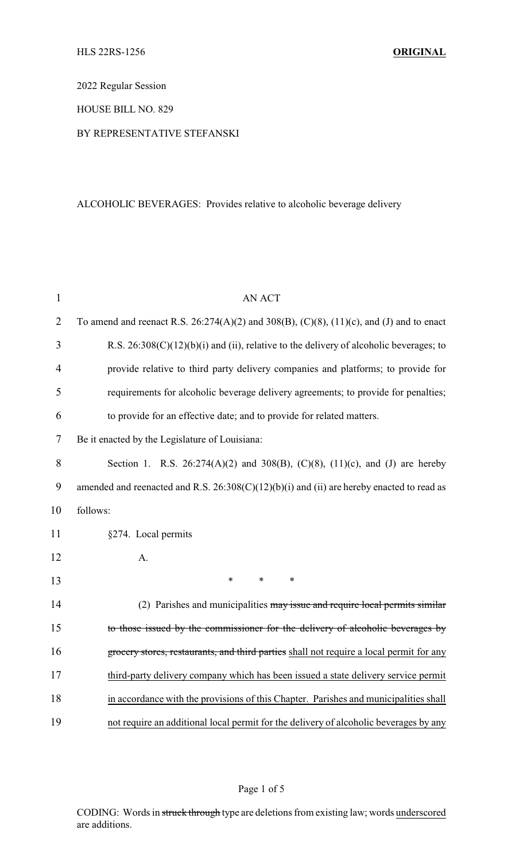2022 Regular Session

HOUSE BILL NO. 829

## BY REPRESENTATIVE STEFANSKI

# ALCOHOLIC BEVERAGES: Provides relative to alcoholic beverage delivery

| $\mathbf{1}$   | <b>AN ACT</b>                                                                                         |
|----------------|-------------------------------------------------------------------------------------------------------|
| $\overline{2}$ | To amend and reenact R.S. $26:274(A)(2)$ and $308(B)$ , $(C)(8)$ , $(11)(c)$ , and $(J)$ and to enact |
| 3              | R.S. $26:308(C)(12)(b)(i)$ and (ii), relative to the delivery of alcoholic beverages; to              |
| 4              | provide relative to third party delivery companies and platforms; to provide for                      |
| 5              | requirements for alcoholic beverage delivery agreements; to provide for penalties;                    |
| 6              | to provide for an effective date; and to provide for related matters.                                 |
| 7              | Be it enacted by the Legislature of Louisiana:                                                        |
| 8              | Section 1. R.S. 26:274(A)(2) and 308(B), (C)(8), (11)(c), and (J) are hereby                          |
| 9              | amended and reenacted and R.S. $26:308(C)(12)(b)(i)$ and (ii) are hereby enacted to read as           |
| 10             | follows:                                                                                              |
| 11             | §274. Local permits                                                                                   |
| 12             | A.                                                                                                    |
| 13             | $\ast$<br>$\ast$<br>*                                                                                 |
| 14             | (2) Parishes and municipalities may issue and require local permits similar                           |
| 15             | to those issued by the commissioner for the delivery of alcoholic beverages by                        |
| 16             | grocery stores, restaurants, and third parties shall not require a local permit for any               |
| 17             | third-party delivery company which has been issued a state delivery service permit                    |
| 18             | in accordance with the provisions of this Chapter. Parishes and municipalities shall                  |
| 19             | not require an additional local permit for the delivery of alcoholic beverages by any                 |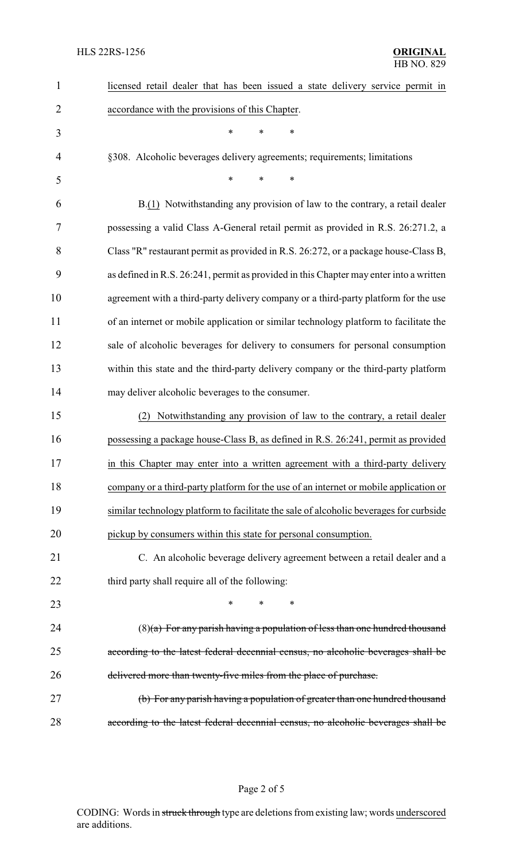| 1              | licensed retail dealer that has been issued a state delivery service permit in         |
|----------------|----------------------------------------------------------------------------------------|
| $\overline{2}$ | accordance with the provisions of this Chapter.                                        |
| 3              | *<br>*<br>*                                                                            |
| 4              | §308. Alcoholic beverages delivery agreements; requirements; limitations               |
| 5              | $\ast$<br>*<br>*                                                                       |
| 6              | B.(1) Notwithstanding any provision of law to the contrary, a retail dealer            |
| 7              | possessing a valid Class A-General retail permit as provided in R.S. 26:271.2, a       |
| 8              | Class "R" restaurant permit as provided in R.S. 26:272, or a package house-Class B,    |
| 9              | as defined in R.S. 26:241, permit as provided in this Chapter may enter into a written |
| 10             | agreement with a third-party delivery company or a third-party platform for the use    |
| 11             | of an internet or mobile application or similar technology platform to facilitate the  |
| 12             | sale of alcoholic beverages for delivery to consumers for personal consumption         |
| 13             | within this state and the third-party delivery company or the third-party platform     |
| 14             | may deliver alcoholic beverages to the consumer.                                       |
| 15             | Notwithstanding any provision of law to the contrary, a retail dealer                  |
| 16             | possessing a package house-Class B, as defined in R.S. 26:241, permit as provided      |
| 17             | in this Chapter may enter into a written agreement with a third-party delivery         |
| 18             | company or a third-party platform for the use of an internet or mobile application or  |
| 19             | similar technology platform to facilitate the sale of alcoholic beverages for curbside |
| 20             | pickup by consumers within this state for personal consumption.                        |
| 21             | C. An alcoholic beverage delivery agreement between a retail dealer and a              |
| 22             | third party shall require all of the following:                                        |
| 23             | *<br>∗                                                                                 |
| 24             | $(8)(a)$ For any parish having a population of less than one hundred thousand          |
| 25             | according to the latest federal decennial census, no alcoholic beverages shall be      |
| 26             | delivered more than twenty-five miles from the place of purchase.                      |
| 27             | (b) For any parish having a population of greater than one hundred thousand            |
| 28             | according to the latest federal decennial census, no alcoholic beverages shall be      |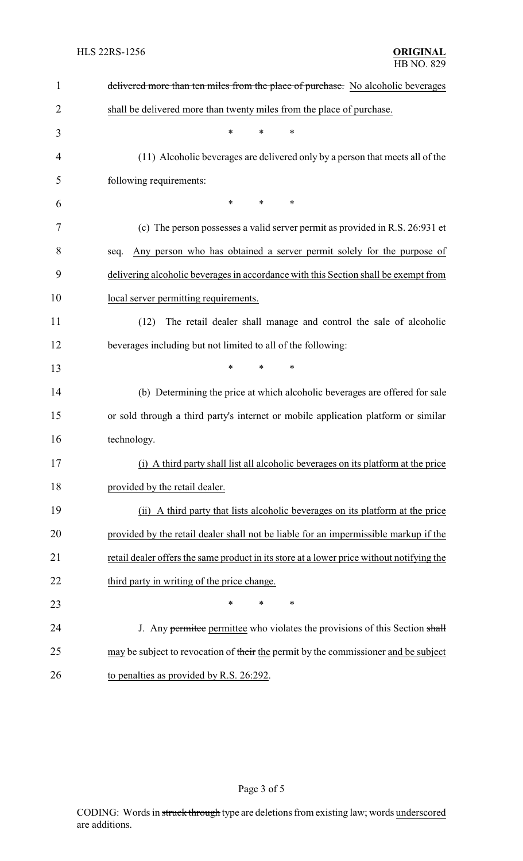| $\mathbf{1}$ | delivered more than ten miles from the place of purchase. No alcoholic beverages          |
|--------------|-------------------------------------------------------------------------------------------|
| 2            | shall be delivered more than twenty miles from the place of purchase.                     |
| 3            | $\ast$<br>*<br>$\ast$                                                                     |
| 4            | (11) Alcoholic beverages are delivered only by a person that meets all of the             |
| 5            | following requirements:                                                                   |
| 6            | *<br>*<br>*                                                                               |
| 7            | (c) The person possesses a valid server permit as provided in R.S. 26:931 et              |
| 8            | Any person who has obtained a server permit solely for the purpose of<br>seq.             |
| 9            | delivering alcoholic beverages in accordance with this Section shall be exempt from       |
| 10           | local server permitting requirements.                                                     |
| 11           | The retail dealer shall manage and control the sale of alcoholic<br>(12)                  |
| 12           | beverages including but not limited to all of the following:                              |
| 13           | *<br>∗                                                                                    |
| 14           | (b) Determining the price at which alcoholic beverages are offered for sale               |
| 15           | or sold through a third party's internet or mobile application platform or similar        |
| 16           | technology.                                                                               |
| 17           | (i) A third party shall list all alcoholic beverages on its platform at the price         |
| 18           | provided by the retail dealer.                                                            |
| 19           | (ii) A third party that lists alcoholic beverages on its platform at the price            |
| 20           | provided by the retail dealer shall not be liable for an impermissible markup if the      |
| 21           | retail dealer offers the same product in its store at a lower price without notifying the |
| 22           | third party in writing of the price change.                                               |
| 23           | *<br>∗<br>*                                                                               |
| 24           | J. Any permittee permittee who violates the provisions of this Section shall              |
| 25           | may be subject to revocation of their the permit by the commissioner and be subject       |
| 26           | to penalties as provided by R.S. 26:292.                                                  |

Page 3 of 5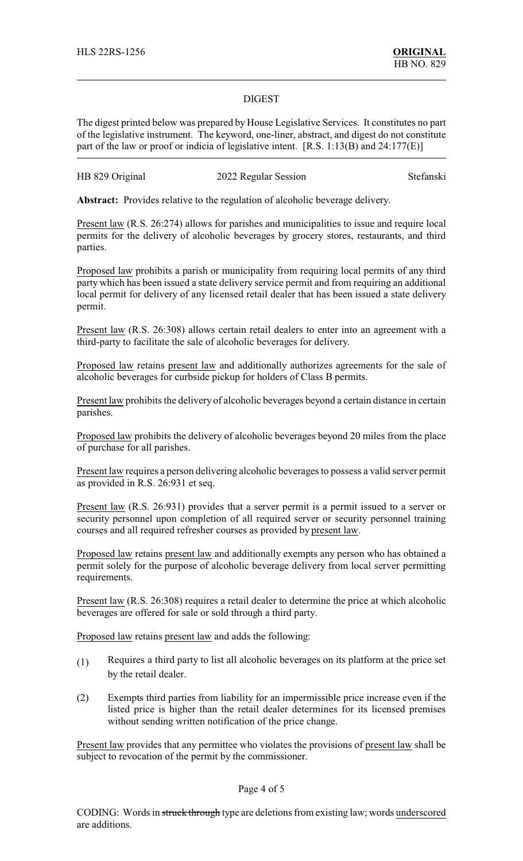### DIGEST

The digest printed below was prepared by House Legislative Services. It constitutes no part of the legislative instrument. The keyword, one-liner, abstract, and digest do not constitute part of the law or proof or indicia of legislative intent. [R.S. 1:13(B) and 24:177(E)]

### HB 829 Original 2022 Regular Session Stefanski

**Abstract:** Provides relative to the regulation of alcoholic beverage delivery.

Present law (R.S. 26:274) allows for parishes and municipalities to issue and require local permits for the delivery of alcoholic beverages by grocery stores, restaurants, and third parties.

Proposed law prohibits a parish or municipality from requiring local permits of any third party which has been issued a state delivery service permit and from requiring an additional local permit for delivery of any licensed retail dealer that has been issued a state delivery permit.

Present law (R.S. 26:308) allows certain retail dealers to enter into an agreement with a third-party to facilitate the sale of alcoholic beverages for delivery.

Proposed law retains present law and additionally authorizes agreements for the sale of alcoholic beverages for curbside pickup for holders of Class B permits.

Present law prohibits the delivery of alcoholic beverages beyond a certain distance in certain parishes.

Proposed law prohibits the delivery of alcoholic beverages beyond 20 miles from the place of purchase for all parishes.

Present law requires a person delivering alcoholic beverages to possess a valid server permit as provided in R.S. 26:931 et seq.

Present law (R.S. 26:931) provides that a server permit is a permit issued to a server or security personnel upon completion of all required server or security personnel training courses and all required refresher courses as provided by present law.

Proposed law retains present law and additionally exempts any person who has obtained a permit solely for the purpose of alcoholic beverage delivery from local server permitting requirements.

Present law (R.S. 26:308) requires a retail dealer to determine the price at which alcoholic beverages are offered for sale or sold through a third party.

Proposed law retains present law and adds the following:

- (1) Requires a third party to list all alcoholic beverages on its platform at the price set by the retail dealer.
- (2) Exempts third parties from liability for an impermissible price increase even if the listed price is higher than the retail dealer determines for its licensed premises without sending written notification of the price change.

Present law provides that any permittee who violates the provisions of present law shall be subject to revocation of the permit by the commissioner.

### Page 4 of 5

CODING: Words in struck through type are deletions from existing law; words underscored are additions.